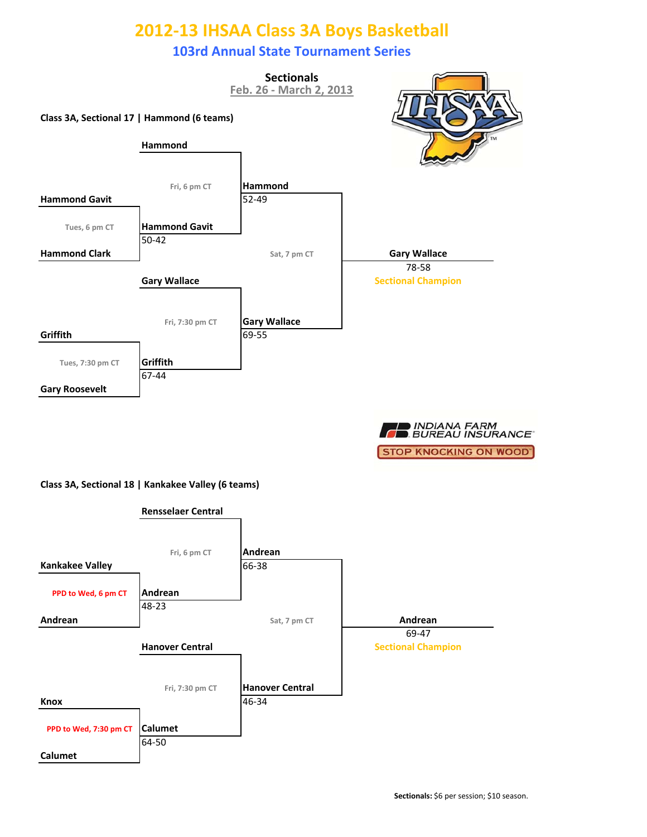### **103rd Annual State Tournament Series**



■ INDIANA FARM<br>■ BUREAU INSURANCE **STOP KNOCKING ON WOOD'** 

#### **Class 3A, Sectional 18 | Kankakee Valley (6 teams)**

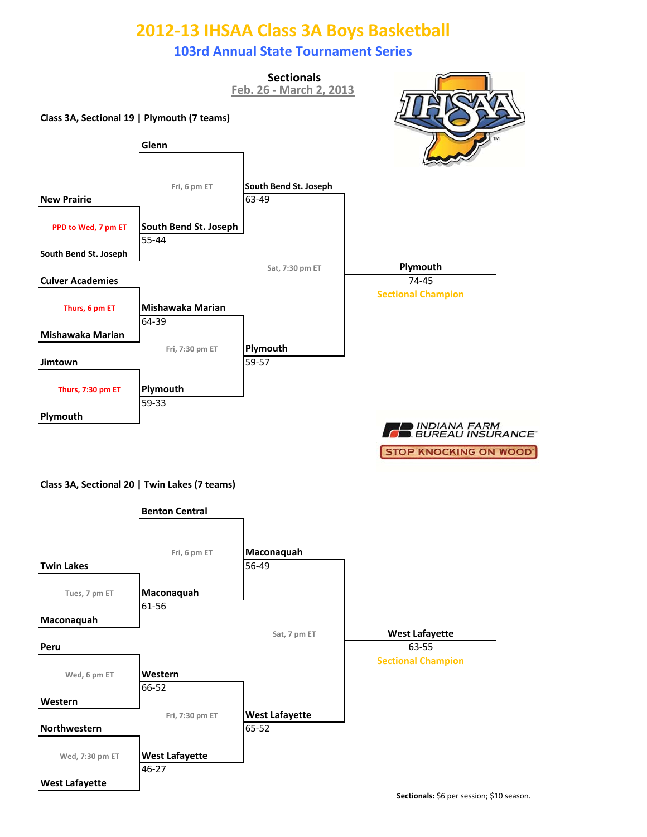### **103rd Annual State Tournament Series**



**Class 3A, Sectional 20 | Twin Lakes (7 teams)**

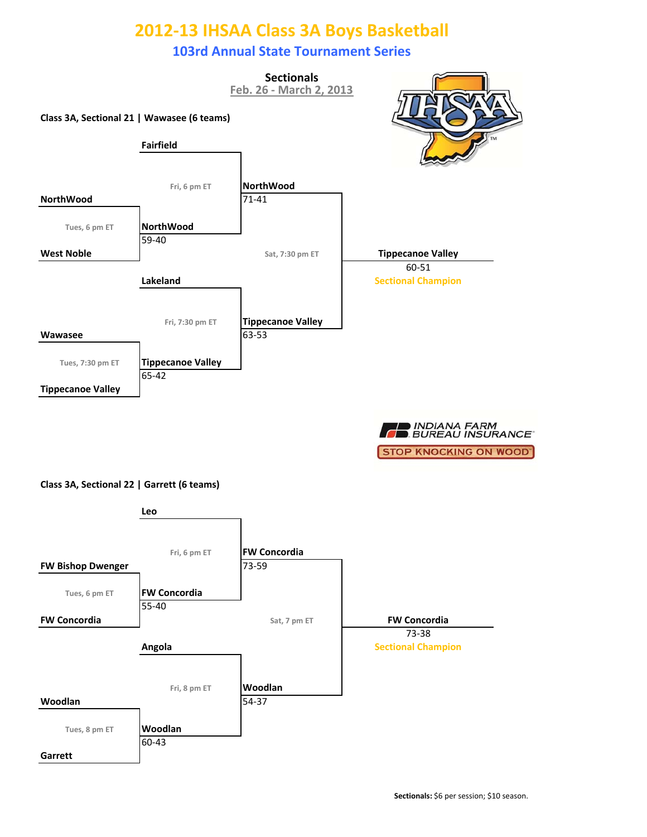### **103rd Annual State Tournament Series**



**OD INDIANA FARM**<br>**CONSUREAU INSURANCE STOP KNOCKING ON WOOD'** 

#### **Class 3A, Sectional 22 | Garrett (6 teams)**

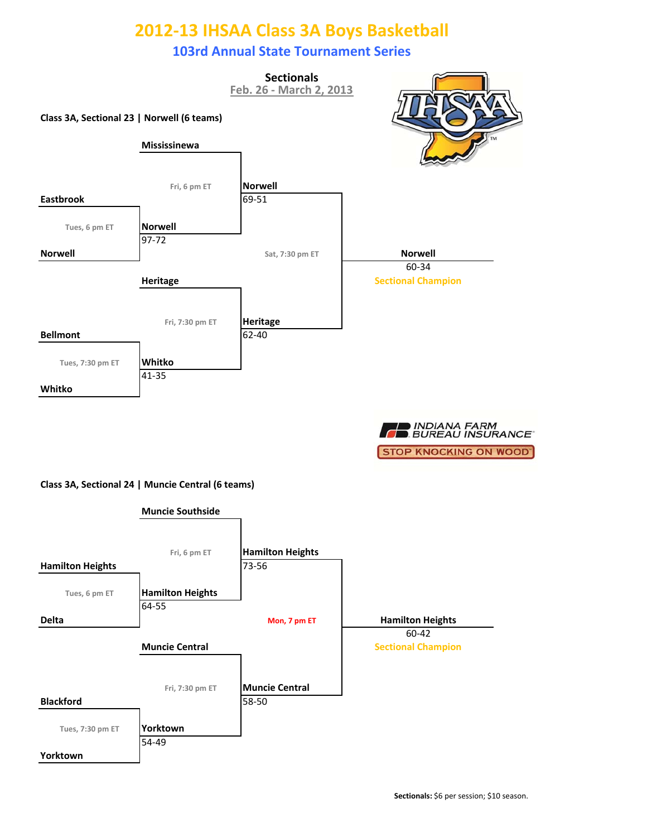### **103rd Annual State Tournament Series**



■ INDIANA FARM<br>■ BUREAU INSURANCE **STOP KNOCKING ON WOOD'** 

#### **Class 3A, Sectional 24 | Muncie Central (6 teams)**

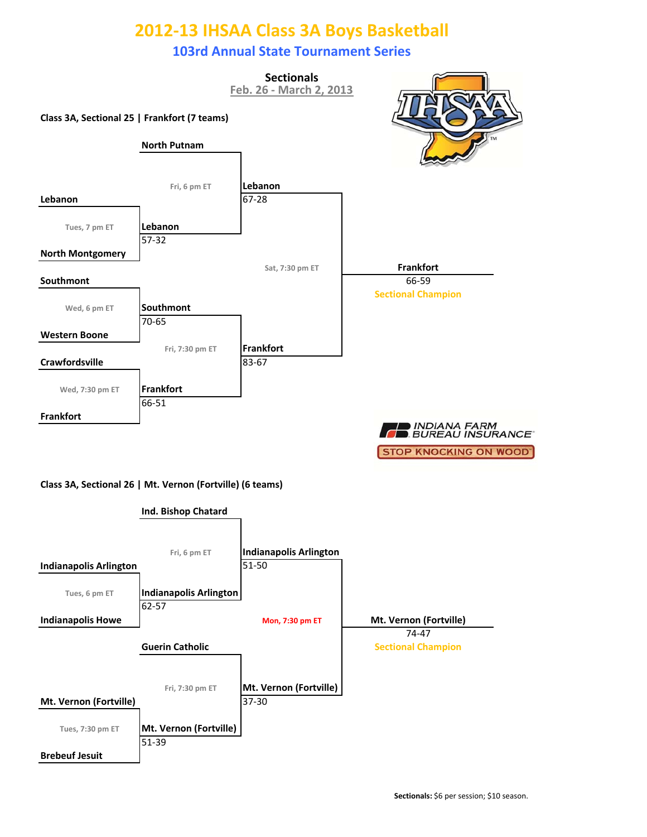### **103rd Annual State Tournament Series**



#### **Class 3A, Sectional 26 | Mt. Vernon (Fortville) (6 teams)**

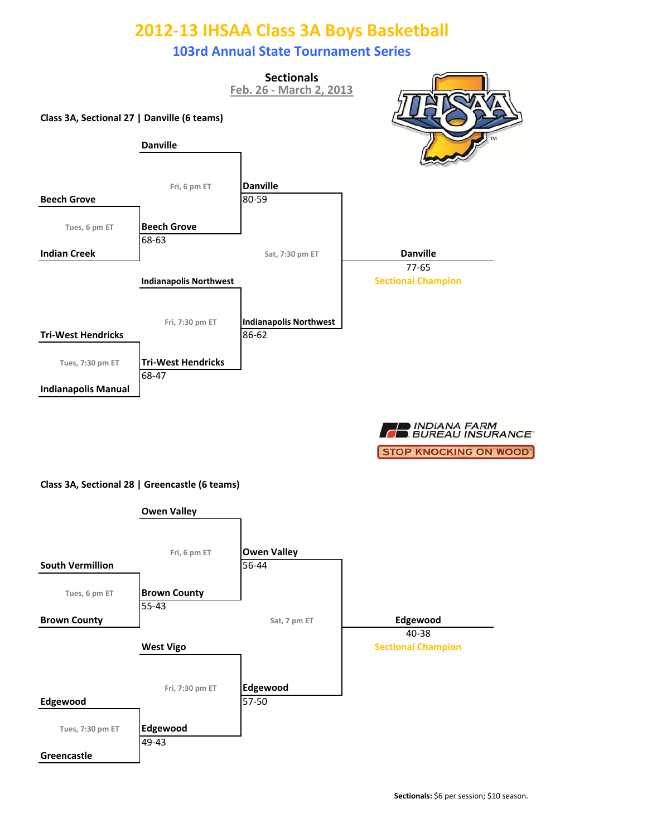### **103rd Annual State Tournament Series**



■ INDIANA FARM<br>■ BUREAU INSURANCE **STOP KNOCKING ON WOOD'** 

#### **Class 3A, Sectional 28 | Greencastle (6 teams)**

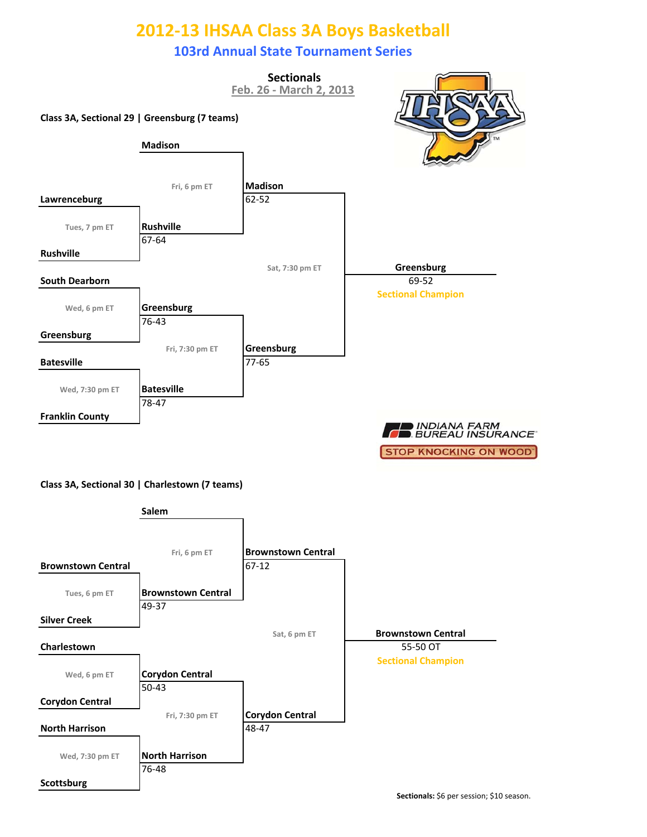### **103rd Annual State Tournament Series**